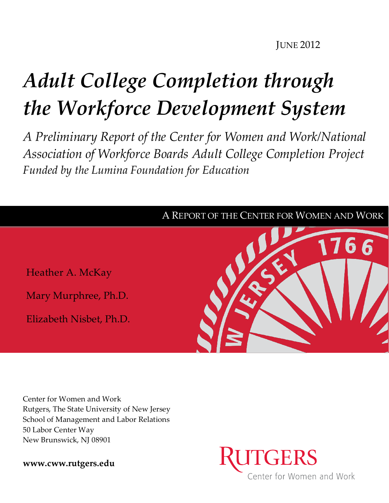**JUNE 2012** 

# *Adult College Completion through the Workforce Development System*

*A Preliminary Report of the Center for Women and Work/National Association of Workforce Boards Adult College Completion Project Funded by the Lumina Foundation for Education*



Center for Women and Work Rutgers, The State University of New Jersey School of Management and Labor Relations 50 Labor Center Way New Brunswick, NJ 08901

**[www.cww.rutgers.edu](http://www.cww.rutgers.edu/)**

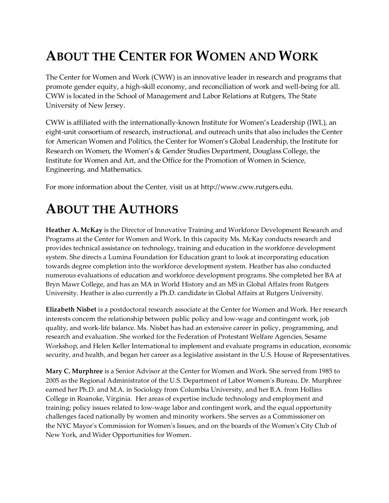# **ABOUT THE CENTER FOR WOMEN AND WORK**

The Center for Women and Work (CWW) is an innovative leader in research and programs that promote gender equity, a high-skill economy, and reconciliation of work and well-being for all. CWW is located in the School of Management and Labor Relations at Rutgers, The State University of New Jersey.

CWW is affiliated with the internationally-known Institute for Women's Leadership (IWL), an eight-unit consortium of research, instructional, and outreach units that also includes the Center for American Women and Politics, the Center for Women's Global Leadership, the Institute for Research on Women, the Women's & Gender Studies Department, Douglass College, the Institute for Women and Art, and the Office for the Promotion of Women in Science, Engineering, and Mathematics.

For more information about the Center, visit us at http://www.cww.rutgers.edu.

# **ABOUT THE AUTHORS**

**Heather A. McKay** is the Director of Innovative Training and Workforce Development Research and Programs at the Center for Women and Work. In this capacity Ms. McKay conducts research and provides technical assistance on technology, training and education in the workforce development system. She directs a Lumina Foundation for Education grant to look at incorporating education towards degree completion into the workforce development system. Heather has also conducted numerous evaluations of education and workforce development programs. She completed her BA at Bryn Mawr College, and has an MA in World History and an MS in Global Affairs from Rutgers University. Heather is also currently a Ph.D. candidate in Global Affairs at Rutgers University.

**Elizabeth Nisbet** is a postdoctoral research associate at the Center for Women and Work. Her research interests concern the relationship between public policy and low-wage and contingent work, job quality, and work-life balance. Ms. Nisbet has had an extensive career in policy, programming, and research and evaluation. She worked for the Federation of Protestant Welfare Agencies, Sesame Workshop, and Helen Keller International to implement and evaluate programs in education, economic security, and health, and began her career as a legislative assistant in the U.S. House of Representatives.

**Mary C. Murphree** is a Senior Advisor at the Center for Women and Work. She served from 1985 to 2005 as the Regional Administrator of the U.S. Department of Labor Women's Bureau. Dr. Murphree earned her Ph.D. and M.A. in Sociology from Columbia University, and her B.A. from Hollins College in Roanoke, Virginia. Her areas of expertise include technology and employment and training; policy issues related to low-wage labor and contingent work, and the equal opportunity challenges faced nationally by women and minority workers. She serves as a Commissioner on the NYC Mayor's Commission for Women's Issues, and on the boards of the Women's City Club of New York, and Wider Opportunities for Women.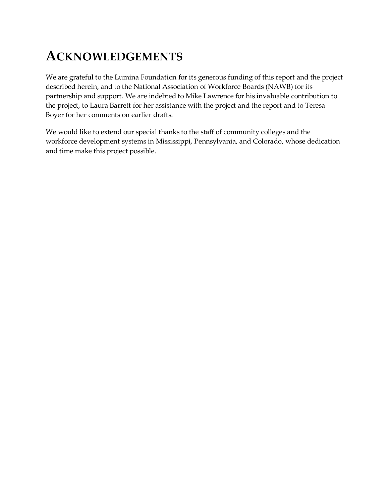# **ACKNOWLEDGEMENTS**

We are grateful to the Lumina Foundation for its generous funding of this report and the project described herein, and to the National Association of Workforce Boards (NAWB) for its partnership and support. We are indebted to Mike Lawrence for his invaluable contribution to the project, to Laura Barrett for her assistance with the project and the report and to Teresa Boyer for her comments on earlier drafts.

We would like to extend our special thanks to the staff of community colleges and the workforce development systems in Mississippi, Pennsylvania, and Colorado, whose dedication and time make this project possible.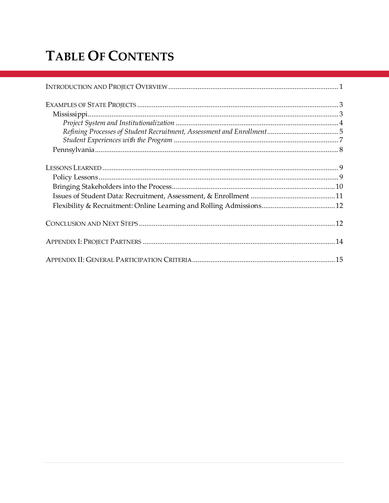# **TABLE OF CONTENTS**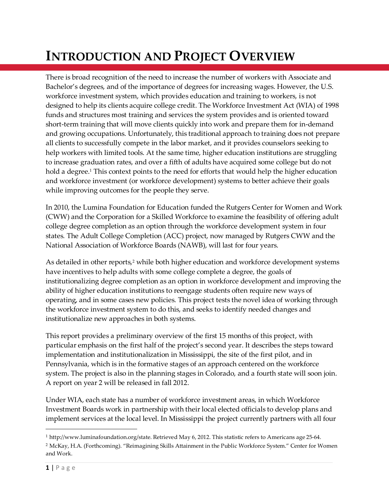# <span id="page-4-0"></span>**INTRODUCTION AND PROJECT OVERVIEW**

There is broad recognition of the need to increase the number of workers with Associate and Bachelor's degrees, and of the importance of degrees for increasing wages. However, the U.S. workforce investment system, which provides education and training to workers, is not designed to help its clients acquire college credit. The Workforce Investment Act (WIA) of 1998 funds and structures most training and services the system provides and is oriented toward short-term training that will move clients quickly into work and prepare them for in-demand and growing occupations. Unfortunately, this traditional approach to training does not prepare all clients to successfully compete in the labor market, and it provides counselors seeking to help workers with limited tools. At the same time, higher education institutions are struggling to increase graduation rates, and over a fifth of adults have acquired some college but do not hold a degree.<sup>1</sup> This context points to the need for efforts that would help the higher education and workforce investment (or workforce development) systems to better achieve their goals while improving outcomes for the people they serve.

In 2010, the Lumina Foundation for Education funded the Rutgers Center for Women and Work (CWW) and the Corporation for a Skilled Workforce to examine the feasibility of offering adult college degree completion as an option through the workforce development system in four states*.* The Adult College Completion (ACC) project, now managed by Rutgers CWW and the National Association of Workforce Boards (NAWB), will last for four years.

As detailed in other reports,<sup>2</sup> while both higher education and workforce development systems have incentives to help adults with some college complete a degree, the goals of institutionalizing degree completion as an option in workforce development and improving the ability of higher education institutions to reengage students often require new ways of operating, and in some cases new policies. This project tests the novel idea of working through the workforce investment system to do this, and seeks to identify needed changes and institutionalize new approaches in both systems.

This report provides a preliminary overview of the first 15 months of this project, with particular emphasis on the first half of the project's second year. It describes the steps toward implementation and institutionalization in Mississippi, the site of the first pilot, and in Pennsylvania, which is in the formative stages of an approach centered on the workforce system. The project is also in the planning stages in Colorado, and a fourth state will soon join. A report on year 2 will be released in fall 2012.

Under WIA, each state has a number of workforce investment areas, in which Workforce Investment Boards work in partnership with their local elected officials to develop plans and implement services at the local level. In Mississippi the project currently partners with all four

 $\overline{\phantom{a}}$ 

<sup>1</sup> http://www.luminafoundation.org/state. Retrieved May 6, 2012. This statistic refers to Americans age 25-64.

<sup>2</sup> McKay, H.A. (Forthcoming). "Reimagining Skills Attainment in the Public Workforce System." Center for Women and Work.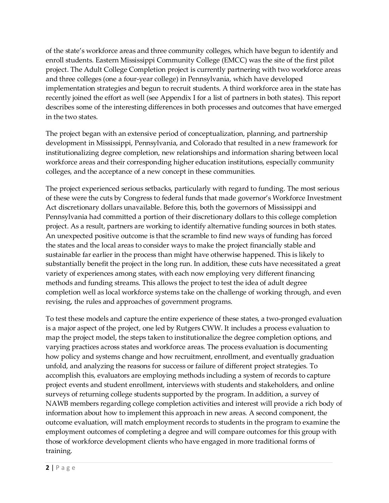of the state's workforce areas and three community colleges, which have begun to identify and enroll students. Eastern Mississippi Community College (EMCC) was the site of the first pilot project. The Adult College Completion project is currently partnering with two workforce areas and three colleges (one a four-year college) in Pennsylvania, which have developed implementation strategies and begun to recruit students. A third workforce area in the state has recently joined the effort as well (see Appendix I for a list of partners in both states). This report describes some of the interesting differences in both processes and outcomes that have emerged in the two states.

The project began with an extensive period of conceptualization, planning, and partnership development in Mississippi, Pennsylvania, and Colorado that resulted in a new framework for institutionalizing degree completion, new relationships and information sharing between local workforce areas and their corresponding higher education institutions, especially community colleges, and the acceptance of a new concept in these communities.

The project experienced serious setbacks, particularly with regard to funding. The most serious of these were the cuts by Congress to federal funds that made governor's Workforce Investment Act discretionary dollars unavailable. Before this, both the governors of Mississippi and Pennsylvania had committed a portion of their discretionary dollars to this college completion project. As a result, partners are working to identify alternative funding sources in both states. An unexpected positive outcome is that the scramble to find new ways of funding has forced the states and the local areas to consider ways to make the project financially stable and sustainable far earlier in the process than might have otherwise happened. This is likely to substantially benefit the project in the long run. In addition, these cuts have necessitated a great variety of experiences among states, with each now employing very different financing methods and funding streams. This allows the project to test the idea of adult degree completion well as local workforce systems take on the challenge of working through, and even revising, the rules and approaches of government programs.

To test these models and capture the entire experience of these states, a two-pronged evaluation is a major aspect of the project, one led by Rutgers CWW. It includes a process evaluation to map the project model, the steps taken to institutionalize the degree completion options, and varying practices across states and workforce areas. The process evaluation is documenting how policy and systems change and how recruitment, enrollment, and eventually graduation unfold, and analyzing the reasons for success or failure of different project strategies. To accomplish this, evaluators are employing methods including a system of records to capture project events and student enrollment, interviews with students and stakeholders, and online surveys of returning college students supported by the program. In addition, a survey of NAWB members regarding college completion activities and interest will provide a rich body of information about how to implement this approach in new areas. A second component, the outcome evaluation, will match employment records to students in the program to examine the employment outcomes of completing a degree and will compare outcomes for this group with those of workforce development clients who have engaged in more traditional forms of training.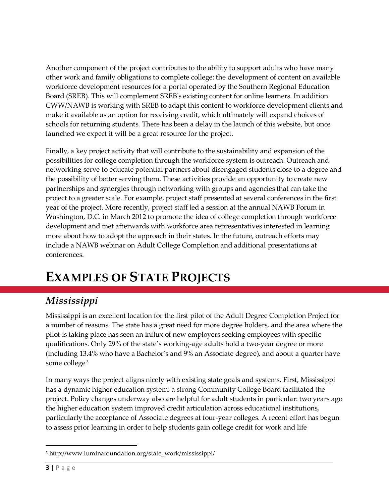Another component of the project contributes to the ability to support adults who have many other work and family obligations to complete college: the development of content on available workforce development resources for a portal operated by the Southern Regional Education Board (SREB). This will complement SREB's existing content for online learners. In addition CWW/NAWB is working with SREB to adapt this content to workforce development clients and make it available as an option for receiving credit, which ultimately will expand choices of schools for returning students. There has been a delay in the launch of this website, but once launched we expect it will be a great resource for the project.

Finally, a key project activity that will contribute to the sustainability and expansion of the possibilities for college completion through the workforce system is outreach. Outreach and networking serve to educate potential partners about disengaged students close to a degree and the possibility of better serving them. These activities provide an opportunity to create new partnerships and synergies through networking with groups and agencies that can take the project to a greater scale. For example, project staff presented at several conferences in the first year of the project. More recently, project staff led a session at the annual NAWB Forum in Washington, D.C. in March 2012 to promote the idea of college completion through workforce development and met afterwards with workforce area representatives interested in learning more about how to adopt the approach in their states. In the future, outreach efforts may include a NAWB webinar on Adult College Completion and additional presentations at conferences.

# <span id="page-6-0"></span>**EXAMPLES OF STATE PROJECTS**

### <span id="page-6-1"></span>*Mississippi*

Mississippi is an excellent location for the first pilot of the Adult Degree Completion Project for a number of reasons. The state has a great need for more degree holders, and the area where the pilot is taking place has seen an influx of new employers seeking employees with specific qualifications. Only 29% of the state's working-age adults hold a two-year degree or more (including 13.4% who have a Bachelor's and 9% an Associate degree), and about a quarter have some college.3

In many ways the project aligns nicely with existing state goals and systems. First, Mississippi has a dynamic higher education system: a strong Community College Board facilitated the project. Policy changes underway also are helpful for adult students in particular: two years ago the higher education system improved credit articulation across educational institutions, particularly the acceptance of Associate degrees at four-year colleges. A recent effort has begun to assess prior learning in order to help students gain college credit for work and life

 $\overline{a}$ 

<sup>3</sup> http://www.luminafoundation.org/state\_work/mississippi/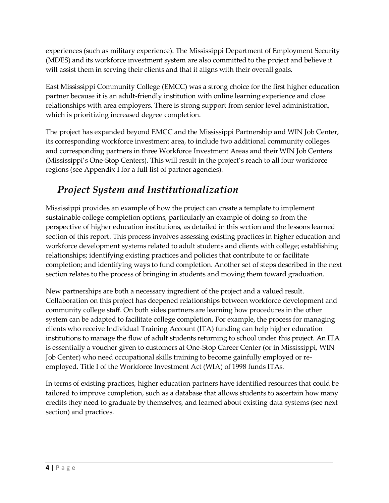experiences (such as military experience). The Mississippi Department of Employment Security (MDES) and its workforce investment system are also committed to the project and believe it will assist them in serving their clients and that it aligns with their overall goals.

East Mississippi Community College (EMCC) was a strong choice for the first higher education partner because it is an adult-friendly institution with online learning experience and close relationships with area employers. There is strong support from senior level administration, which is prioritizing increased degree completion.

The project has expanded beyond EMCC and the Mississippi Partnership and WIN Job Center, its corresponding workforce investment area, to include two additional community colleges and corresponding partners in three Workforce Investment Areas and their WIN Job Centers (Mississippi's One-Stop Centers). This will result in the project's reach to all four workforce regions (see Appendix I for a full list of partner agencies).

### <span id="page-7-0"></span>*Project System and Institutionalization*

Mississippi provides an example of how the project can create a template to implement sustainable college completion options, particularly an example of doing so from the perspective of higher education institutions, as detailed in this section and the lessons learned section of this report. This process involves assessing existing practices in higher education and workforce development systems related to adult students and clients with college; establishing relationships; identifying existing practices and policies that contribute to or facilitate completion; and identifying ways to fund completion. Another set of steps described in the next section relates to the process of bringing in students and moving them toward graduation.

New partnerships are both a necessary ingredient of the project and a valued result. Collaboration on this project has deepened relationships between workforce development and community college staff. On both sides partners are learning how procedures in the other system can be adapted to facilitate college completion. For example, the process for managing clients who receive Individual Training Account (ITA) funding can help higher education institutions to manage the flow of adult students returning to school under this project. An ITA is essentially a voucher given to customers at One-Stop Career Center (or in Mississippi, WIN Job Center) who need occupational skills training to become gainfully employed or reemployed. Title I of the [Workforce Investment Act \(WIA\) of 1998](http://www.workworld.org/wwwebhelp/one_stop_centers_overview.htm#One_Stop_Centers_Overview_WIA) funds ITAs.

In terms of existing practices, higher education partners have identified resources that could be tailored to improve completion, such as a database that allows students to ascertain how many credits they need to graduate by themselves, and learned about existing data systems (see next section) and practices.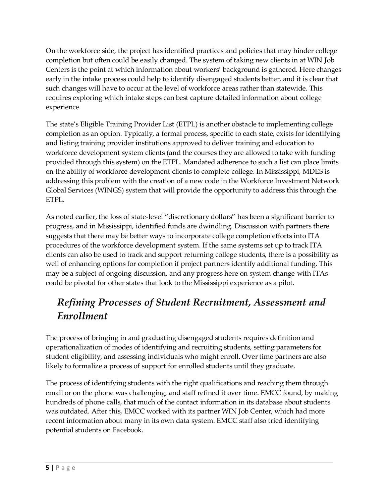On the workforce side, the project has identified practices and policies that may hinder college completion but often could be easily changed. The system of taking new clients in at WIN Job Centers is the point at which information about workers' background is gathered. Here changes early in the intake process could help to identify disengaged students better, and it is clear that such changes will have to occur at the level of workforce areas rather than statewide. This requires exploring which intake steps can best capture detailed information about college experience.

The state's Eligible Training Provider List (ETPL) is another obstacle to implementing college completion as an option. Typically, a formal process, specific to each state, exists for identifying and listing training provider institutions approved to deliver training and education to workforce development system clients (and the courses they are allowed to take with funding provided through this system) on the ETPL. Mandated adherence to such a list can place limits on the ability of workforce development clients to complete college. In Mississippi, MDES is addressing this problem with the creation of a new code in the Workforce Investment Network Global Services (WINGS) system that will provide the opportunity to address this through the ETPL.

As noted earlier, the loss of state-level "discretionary dollars" has been a significant barrier to progress, and in Mississippi, identified funds are dwindling. Discussion with partners there suggests that there may be better ways to incorporate college completion efforts into ITA procedures of the workforce development system. If the same systems set up to track ITA clients can also be used to track and support returning college students, there is a possibility as well of enhancing options for completion if project partners identify additional funding. This may be a subject of ongoing discussion, and any progress here on system change with ITAs could be pivotal for other states that look to the Mississippi experience as a pilot.

### <span id="page-8-0"></span>*Refining Processes of Student Recruitment, Assessment and Enrollment*

The process of bringing in and graduating disengaged students requires definition and operationalization of modes of identifying and recruiting students, setting parameters for student eligibility, and assessing individuals who might enroll. Over time partners are also likely to formalize a process of support for enrolled students until they graduate.

The process of identifying students with the right qualifications and reaching them through email or on the phone was challenging, and staff refined it over time. EMCC found, by making hundreds of phone calls, that much of the contact information in its database about students was outdated. After this, EMCC worked with its partner WIN Job Center, which had more recent information about many in its own data system. EMCC staff also tried identifying potential students on Facebook.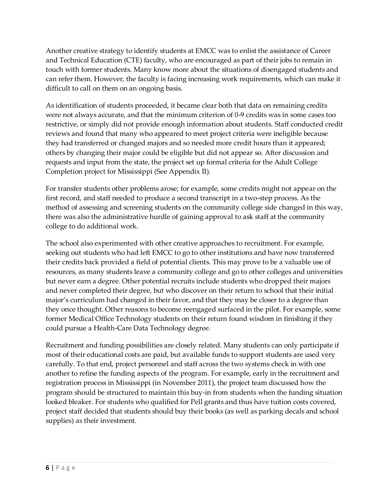Another creative strategy to identify students at EMCC was to enlist the assistance of Career and Technical Education (CTE) faculty, who are encouraged as part of their jobs to remain in touch with former students. Many know more about the situations of disengaged students and can refer them. However, the faculty is facing increasing work requirements, which can make it difficult to call on them on an ongoing basis.

As identification of students proceeded, it became clear both that data on remaining credits were not always accurate, and that the minimum criterion of 0-9 credits was in some cases too restrictive, or simply did not provide enough information about students. Staff conducted credit reviews and found that many who appeared to meet project criteria were ineligible because they had transferred or changed majors and so needed more credit hours than it appeared; others by changing their major could be eligible but did not appear so. After discussion and requests and input from the state, the project set up formal criteria for the Adult College Completion project for Mississippi (See Appendix II).

For transfer students other problems arose; for example, some credits might not appear on the first record, and staff needed to produce a second transcript in a two-step process. As the method of assessing and screening students on the community college side changed in this way, there was also the administrative hurdle of gaining approval to ask staff at the community college to do additional work.

The school also experimented with other creative approaches to recruitment. For example, seeking out students who had left EMCC to go to other institutions and have now transferred their credits back provided a field of potential clients. This may prove to be a valuable use of resources, as many students leave a community college and go to other colleges and universities but never earn a degree. Other potential recruits include students who dropped their majors and never completed their degree, but who discover on their return to school that their initial major's curriculum had changed in their favor, and that they may be closer to a degree than they once thought. Other reasons to become reengaged surfaced in the pilot. For example, some former Medical Office Technology students on their return found wisdom in finishing if they could pursue a Health-Care Data Technology degree.

Recruitment and funding possibilities are closely related. Many students can only participate if most of their educational costs are paid, but available funds to support students are used very carefully. To that end, project personnel and staff across the two systems check in with one another to refine the funding aspects of the program. For example, early in the recruitment and registration process in Mississippi (in November 2011), the project team discussed how the program should be structured to maintain this buy-in from students when the funding situation looked bleaker. For students who qualified for Pell grants and thus have tuition costs covered, project staff decided that students should buy their books (as well as parking decals and school supplies) as their investment.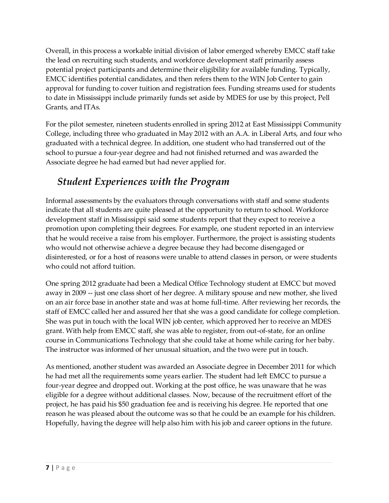Overall, in this process a workable initial division of labor emerged whereby EMCC staff take the lead on recruiting such students, and workforce development staff primarily assess potential project participants and determine their eligibility for available funding. Typically, EMCC identifies potential candidates, and then refers them to the WIN Job Center to gain approval for funding to cover tuition and registration fees. Funding streams used for students to date in Mississippi include primarily funds set aside by MDES for use by this project, Pell Grants, and ITAs.

For the pilot semester, nineteen students enrolled in spring 2012 at East Mississippi Community College, including three who graduated in May 2012 with an A.A. in Liberal Arts, and four who graduated with a technical degree. In addition, one student who had transferred out of the school to pursue a four-year degree and had not finished returned and was awarded the Associate degree he had earned but had never applied for.

### <span id="page-10-0"></span>*Student Experiences with the Program*

Informal assessments by the evaluators through conversations with staff and some students indicate that all students are quite pleased at the opportunity to return to school. Workforce development staff in Mississippi said some students report that they expect to receive a promotion upon completing their degrees. For example, one student reported in an interview that he would receive a raise from his employer. Furthermore, the project is assisting students who would not otherwise achieve a degree because they had become disengaged or disinterested, or for a host of reasons were unable to attend classes in person, or were students who could not afford tuition.

One spring 2012 graduate had been a Medical Office Technology student at EMCC but moved away in 2009 -- just one class short of her degree. A military spouse and new mother, she lived on an air force base in another state and was at home full-time. After reviewing her records, the staff of EMCC called her and assured her that she was a good candidate for college completion. She was put in touch with the local WIN job center, which approved her to receive an MDES grant. With help from EMCC staff, she was able to register, from out-of-state, for an online course in Communications Technology that she could take at home while caring for her baby. The instructor was informed of her unusual situation, and the two were put in touch.

As mentioned, another student was awarded an Associate degree in December 2011 for which he had met all the requirements some years earlier. The student had left EMCC to pursue a four-year degree and dropped out. Working at the post office, he was unaware that he was eligible for a degree without additional classes. Now, because of the recruitment effort of the project, he has paid his \$50 graduation fee and is receiving his degree. He reported that one reason he was pleased about the outcome was so that he could be an example for his children. Hopefully, having the degree will help also him with his job and career options in the future.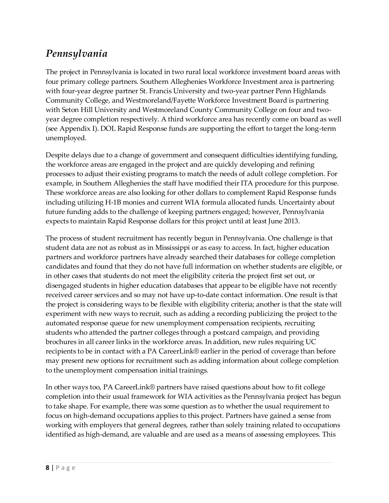### <span id="page-11-0"></span>*Pennsylvania*

The project in Pennsylvania is located in two rural local workforce investment board areas with four primary college partners. Southern Alleghenies Workforce Investment area is partnering with four-year degree partner St. Francis University and two-year partner Penn Highlands Community College, and Westmoreland/Fayette Workforce Investment Board is partnering with Seton Hill University and Westmoreland County Community College on four and twoyear degree completion respectively. A third workforce area has recently come on board as well (see Appendix I). DOL Rapid Response funds are supporting the effort to target the long-term unemployed.

Despite delays due to a change of government and consequent difficulties identifying funding, the workforce areas are engaged in the project and are quickly developing and refining processes to adjust their existing programs to match the needs of adult college completion. For example, in Southern Alleghenies the staff have modified their ITA procedure for this purpose. These workforce areas are also looking for other dollars to complement Rapid Response funds including utilizing H-1B monies and current WIA formula allocated funds. Uncertainty about future funding adds to the challenge of keeping partners engaged; however, Pennsylvania expects to maintain Rapid Response dollars for this project until at least June 2013.

The process of student recruitment has recently begun in Pennsylvania. One challenge is that student data are not as robust as in Mississippi or as easy to access. In fact, higher education partners and workforce partners have already searched their databases for college completion candidates and found that they do not have full information on whether students are eligible, or in other cases that students do not meet the eligibility criteria the project first set out, or disengaged students in higher education databases that appear to be eligible have not recently received career services and so may not have up-to-date contact information. One result is that the project is considering ways to be flexible with eligibility criteria; another is that the state will experiment with new ways to recruit, such as adding a recording publicizing the project to the automated response queue for new unemployment compensation recipients, recruiting students who attended the partner colleges through a postcard campaign, and providing brochures in all career links in the workforce areas. In addition, new rules requiring UC recipients to be in contact with a PA CareerLink® earlier in the period of coverage than before may present new options for recruitment such as adding information about college completion to the unemployment compensation initial trainings.

In other ways too, PA CareerLink® partners have raised questions about how to fit college completion into their usual framework for WIA activities as the Pennsylvania project has begun to take shape. For example, there was some question as to whether the usual requirement to focus on high-demand occupations applies to this project. Partners have gained a sense from working with employers that general degrees, rather than solely training related to occupations identified as high-demand, are valuable and are used as a means of assessing employees. This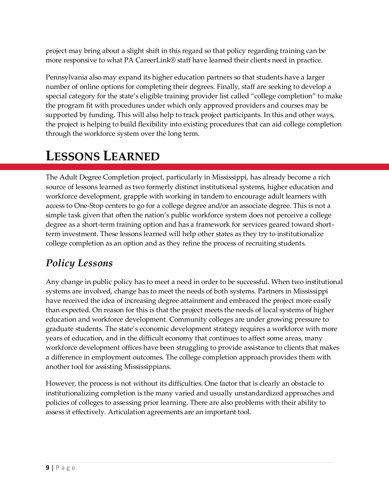project may bring about a slight shift in this regard so that policy regarding training can be more responsive to what PA CareerLink® staff have learned their clients need in practice.

Pennsylvania also may expand its higher education partners so that students have a larger number of online options for completing their degrees. Finally, staff are seeking to develop a special category for the state's eligible training provider list called "college completion" to make the program fit with procedures under which only approved providers and courses may be supported by funding. This will also help to track project participants. In this and other ways, the project is helping to build flexibility into existing procedures that can aid college completion through the workforce system over the long term.

# <span id="page-12-0"></span>**LESSONS LEARNED**

The Adult Degree Completion project, particularly in Mississippi, has already become a rich source of lessons learned as two formerly distinct institutional systems, higher education and workforce development, grapple with working in tandem to encourage adult learners with access to One-Stop centers to go for a college degree and/or an associate degree. This is not a simple task given that often the nation's public workforce system does not perceive a college degree as a short-term training option and has a framework for services geared toward shortterm investment. These lessons learned will help other states as they try to institutionalize college completion as an option and as they refine the process of recruiting students.

### <span id="page-12-1"></span>*Policy Lessons*

Any change in public policy has to meet a need in order to be successful. When two institutional systems are involved, change has to meet the needs of both systems. Partners in Mississippi have received the idea of increasing degree attainment and embraced the project more easily than expected. On reason for this is that the project meets the needs of local systems of higher education and workforce development. Community colleges are under growing pressure to graduate students. The state's economic development strategy requires a workforce with more years of education, and in the difficult economy that continues to affect some areas, many workforce development offices have been struggling to provide assistance to clients that makes a difference in employment outcomes. The college completion approach provides them with another tool for assisting Mississippians.

However, the process is not without its difficulties. One factor that is clearly an obstacle to institutionalizing completion is the many varied and usually unstandardized approaches and policies of colleges to assessing prior learning. There are also problems with their ability to assess it effectively. Articulation agreements are an important tool.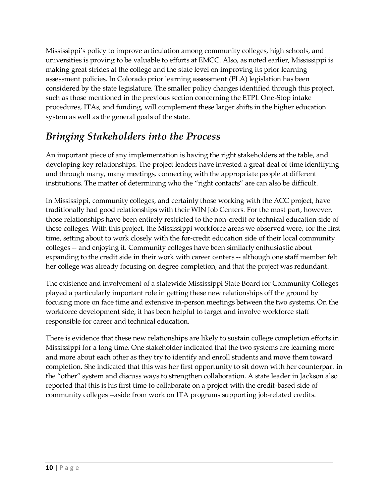Mississippi's policy to improve articulation among community colleges, high schools, and universities is proving to be valuable to efforts at EMCC. Also, as noted earlier, Mississippi is making great strides at the college and the state level on improving its prior learning assessment policies. In Colorado prior learning assessment (PLA) legislation has been considered by the state legislature. The smaller policy changes identified through this project, such as those mentioned in the previous section concerning the ETPL One-Stop intake procedures, ITAs, and funding, will complement these larger shifts in the higher education system as well as the general goals of the state.

### <span id="page-13-0"></span>*Bringing Stakeholders into the Process*

An important piece of any implementation is having the right stakeholders at the table, and developing key relationships. The project leaders have invested a great deal of time identifying and through many, many meetings, connecting with the appropriate people at different institutions. The matter of determining who the "right contacts" are can also be difficult.

In Mississippi, community colleges, and certainly those working with the ACC project, have traditionally had good relationships with their WIN Job Centers. For the most part, however, those relationships have been entirely restricted to the non-credit or technical education side of these colleges. With this project, the Mississippi workforce areas we observed were, for the first time, setting about to work closely with the for-credit education side of their local community colleges -- and enjoying it. Community colleges have been similarly enthusiastic about expanding to the credit side in their work with career centers -- although one staff member felt her college was already focusing on degree completion, and that the project was redundant.

The existence and involvement of a statewide Mississippi State Board for Community Colleges played a particularly important role in getting these new relationships off the ground by focusing more on face time and extensive in-person meetings between the two systems. On the workforce development side, it has been helpful to target and involve workforce staff responsible for career and technical education.

There is evidence that these new relationships are likely to sustain college completion efforts in Mississippi for a long time. One stakeholder indicated that the two systems are learning more and more about each other as they try to identify and enroll students and move them toward completion. She indicated that this was her first opportunity to sit down with her counterpart in the "other" system and discuss ways to strengthen collaboration. A state leader in Jackson also reported that this is his first time to collaborate on a project with the credit-based side of community colleges --aside from work on ITA programs supporting job-related credits.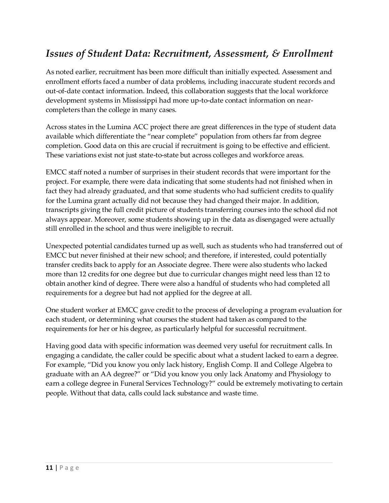### <span id="page-14-0"></span>*Issues of Student Data: Recruitment, Assessment, & Enrollment*

As noted earlier, recruitment has been more difficult than initially expected. Assessment and enrollment efforts faced a number of data problems, including inaccurate student records and out-of-date contact information. Indeed, this collaboration suggests that the local workforce development systems in Mississippi had more up-to-date contact information on nearcompleters than the college in many cases.

Across states in the Lumina ACC project there are great differences in the type of student data available which differentiate the "near complete" population from others far from degree completion. Good data on this are crucial if recruitment is going to be effective and efficient. These variations exist not just state-to-state but across colleges and workforce areas.

EMCC staff noted a number of surprises in their student records that were important for the project. For example, there were data indicating that some students had not finished when in fact they had already graduated, and that some students who had sufficient credits to qualify for the Lumina grant actually did not because they had changed their major. In addition, transcripts giving the full credit picture of students transferring courses into the school did not always appear. Moreover, some students showing up in the data as disengaged were actually still enrolled in the school and thus were ineligible to recruit.

Unexpected potential candidates turned up as well, such as students who had transferred out of EMCC but never finished at their new school; and therefore, if interested, could potentially transfer credits back to apply for an Associate degree. There were also students who lacked more than 12 credits for one degree but due to curricular changes might need less than 12 to obtain another kind of degree. There were also a handful of students who had completed all requirements for a degree but had not applied for the degree at all.

One student worker at EMCC gave credit to the process of developing a program evaluation for each student, or determining what courses the student had taken as compared to the requirements for her or his degree, as particularly helpful for successful recruitment.

Having good data with specific information was deemed very useful for recruitment calls. In engaging a candidate, the caller could be specific about what a student lacked to earn a degree. For example, "Did you know you only lack history, English Comp. II and College Algebra to graduate with an AA degree?" or "Did you know you only lack Anatomy and Physiology to earn a college degree in Funeral Services Technology?" could be extremely motivating to certain people. Without that data, calls could lack substance and waste time.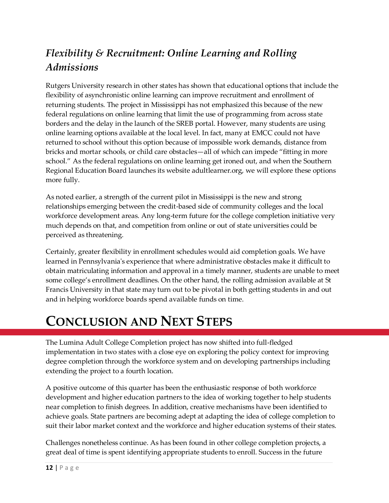### <span id="page-15-0"></span>*Flexibility & Recruitment: Online Learning and Rolling Admissions*

Rutgers University research in other states has shown that educational options that include the flexibility of asynchronistic online learning can improve recruitment and enrollment of returning students. The project in Mississippi has not emphasized this because of the new federal regulations on online learning that limit the use of programming from across state borders and the delay in the launch of the SREB portal. However, many students are using online learning options available at the local level. In fact, many at EMCC could not have returned to school without this option because of impossible work demands, distance from bricks and mortar schools, or child care obstacles—all of which can impede "fitting in more school." As the federal regulations on online learning get ironed out, and when the Southern Regional Education Board launches its website adultlearner.org, we will explore these options more fully.

As noted earlier, a strength of the current pilot in Mississippi is the new and strong relationships emerging between the credit-based side of community colleges and the local workforce development areas. Any long-term future for the college completion initiative very much depends on that, and competition from online or out of state universities could be perceived as threatening.

Certainly, greater flexibility in enrollment schedules would aid completion goals. We have learned in Pennsylvania's experience that where administrative obstacles make it difficult to obtain matriculating information and approval in a timely manner, students are unable to meet some college's enrollment deadlines. On the other hand, the rolling admission available at St Francis University in that state may turn out to be pivotal in both getting students in and out and in helping workforce boards spend available funds on time.

# <span id="page-15-1"></span>**CONCLUSION AND NEXT STEPS**

The Lumina Adult College Completion project has now shifted into full-fledged implementation in two states with a close eye on exploring the policy context for improving degree completion through the workforce system and on developing partnerships including extending the project to a fourth location.

A positive outcome of this quarter has been the enthusiastic response of both workforce development and higher education partners to the idea of working together to help students near completion to finish degrees. In addition, creative mechanisms have been identified to achieve goals. State partners are becoming adept at adapting the idea of college completion to suit their labor market context and the workforce and higher education systems of their states.

Challenges nonetheless continue. As has been found in other college completion projects, a great deal of time is spent identifying appropriate students to enroll. Success in the future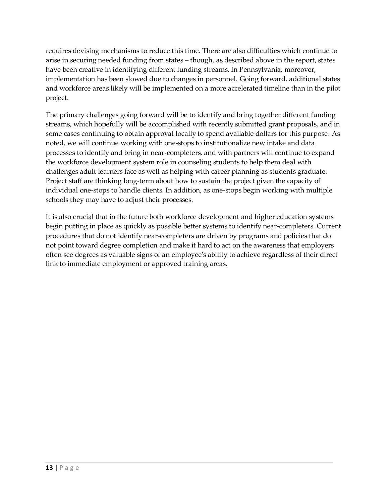requires devising mechanisms to reduce this time. There are also difficulties which continue to arise in securing needed funding from states – though, as described above in the report, states have been creative in identifying different funding streams. In Pennsylvania, moreover, implementation has been slowed due to changes in personnel. Going forward, additional states and workforce areas likely will be implemented on a more accelerated timeline than in the pilot project.

The primary challenges going forward will be to identify and bring together different funding streams, which hopefully will be accomplished with recently submitted grant proposals, and in some cases continuing to obtain approval locally to spend available dollars for this purpose. As noted, we will continue working with one-stops to institutionalize new intake and data processes to identify and bring in near-completers, and with partners will continue to expand the workforce development system role in counseling students to help them deal with challenges adult learners face as well as helping with career planning as students graduate. Project staff are thinking long-term about how to sustain the project given the capacity of individual one-stops to handle clients. In addition, as one-stops begin working with multiple schools they may have to adjust their processes.

It is also crucial that in the future both workforce development and higher education systems begin putting in place as quickly as possible better systems to identify near-completers. Current procedures that do not identify near-completers are driven by programs and policies that do not point toward degree completion and make it hard to act on the awareness that employers often see degrees as valuable signs of an employee's ability to achieve regardless of their direct link to immediate employment or approved training areas.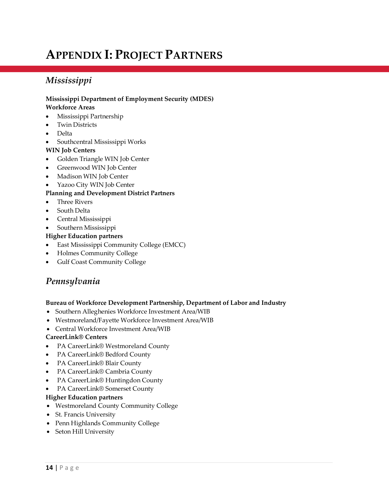# <span id="page-17-0"></span>**APPENDIX I: PROJECT PARTNERS**

#### *Mississippi*

#### **Mississippi Department of Employment Security (MDES)**

#### **Workforce Areas**

- Mississippi Partnership
- Twin Districts
- Delta
- Southcentral Mississippi Works

#### **WIN Job Centers**

- Golden Triangle WIN Job Center
- Greenwood WIN Job Center
- Madison WIN Job Center
- Yazoo City WIN Job Center

#### **Planning and Development District Partners**

- Three Rivers
- South Delta
- Central Mississippi
- Southern Mississippi

#### **Higher Education partners**

- East Mississippi Community College (EMCC)
- Holmes Community College
- Gulf Coast Community College

#### *Pennsylvania*

#### **Bureau of Workforce Development Partnership, Department of Labor and Industry**

- Southern Alleghenies Workforce Investment Area/WIB
- Westmoreland/Fayette Workforce Investment Area/WIB
- Central Workforce Investment Area/WIB

#### **CareerLink® Centers**

- PA CareerLink® Westmoreland County
- PA CareerLink® Bedford County
- PA CareerLink® Blair County
- PA CareerLink<sup>®</sup> Cambria County
- PA CareerLink® Huntingdon County
- PA CareerLink® Somerset County

#### **Higher Education partners**

- Westmoreland County Community College
- St. Francis University
- Penn Highlands Community College
- Seton Hill University